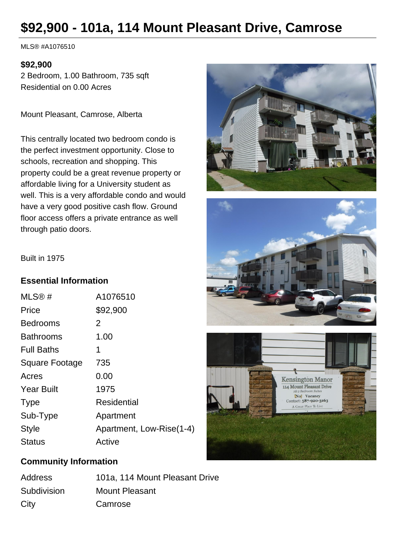# **\$92,900 - 101a, 114 Mount Pleasant Drive, Camrose**

MLS® #A1076510

#### **\$92,900**

2 Bedroom, 1.00 Bathroom, 735 sqft Residential on 0.00 Acres

Mount Pleasant, Camrose, Alberta

This centrally located two bedroom condo is the perfect investment opportunity. Close to schools, recreation and shopping. This property could be a great revenue property or affordable living for a University student as well. This is a very affordable condo and would have a very good positive cash flow. Ground floor access offers a private entrance as well through patio doors.







#### Built in 1975

#### **Essential Information**

| MLS@#                 | A1076510                 |
|-----------------------|--------------------------|
| Price                 | \$92,900                 |
| <b>Bedrooms</b>       | 2                        |
| <b>Bathrooms</b>      | 1.00                     |
| <b>Full Baths</b>     | 1                        |
| <b>Square Footage</b> | 735                      |
| Acres                 | 0.00                     |
| <b>Year Built</b>     | 1975                     |
| <b>Type</b>           | Residential              |
| Sub-Type              | Apartment                |
| <b>Style</b>          | Apartment, Low-Rise(1-4) |
| <b>Status</b>         | Active                   |
|                       |                          |

#### **Community Information**

| Address     | 101a, 114 Mount Pleasant Drive |
|-------------|--------------------------------|
| Subdivision | Mount Pleasant                 |
| City        | Camrose                        |